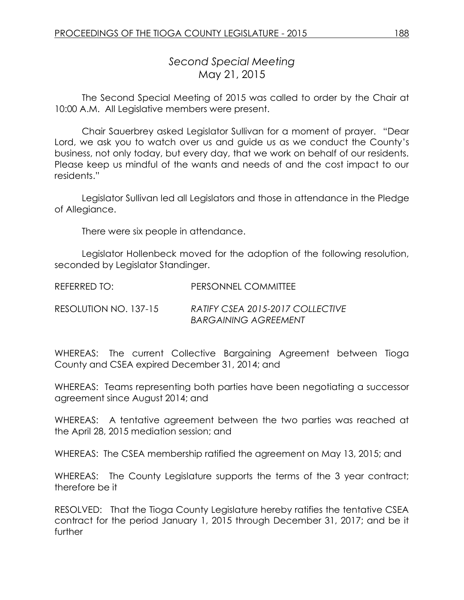## *Second Special Meeting* May 21, 2015

The Second Special Meeting of 2015 was called to order by the Chair at 10:00 A.M. All Legislative members were present.

Chair Sauerbrey asked Legislator Sullivan for a moment of prayer. "Dear Lord, we ask you to watch over us and guide us as we conduct the County's business, not only today, but every day, that we work on behalf of our residents. Please keep us mindful of the wants and needs of and the cost impact to our residents."

Legislator Sullivan led all Legislators and those in attendance in the Pledge of Allegiance.

There were six people in attendance.

Legislator Hollenbeck moved for the adoption of the following resolution, seconded by Legislator Standinger.

| REFERRED TO:          | PERSONNEL COMMITTEE                                             |
|-----------------------|-----------------------------------------------------------------|
| RESOLUTION NO. 137-15 | RATIFY CSEA 2015-2017 COLLECTIVE<br><b>BARGAINING AGREEMENT</b> |

WHEREAS: The current Collective Bargaining Agreement between Tioga County and CSEA expired December 31, 2014; and

WHEREAS: Teams representing both parties have been negotiating a successor agreement since August 2014; and

WHEREAS: A tentative agreement between the two parties was reached at the April 28, 2015 mediation session; and

WHEREAS: The CSEA membership ratified the agreement on May 13, 2015; and

WHEREAS: The County Legislature supports the terms of the 3 year contract; therefore be it

RESOLVED: That the Tioga County Legislature hereby ratifies the tentative CSEA contract for the period January 1, 2015 through December 31, 2017; and be it further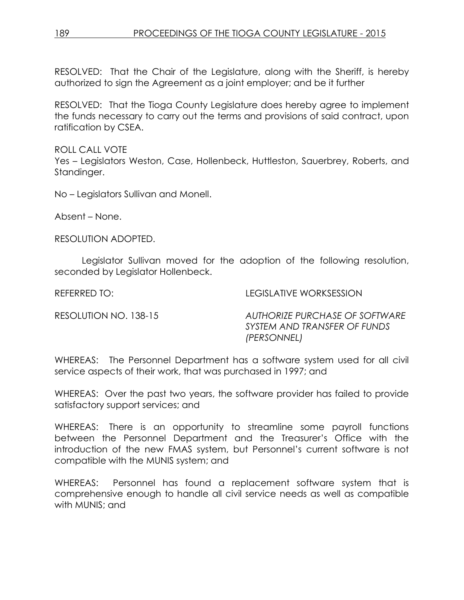RESOLVED: That the Chair of the Legislature, along with the Sheriff, is hereby authorized to sign the Agreement as a joint employer; and be it further

RESOLVED: That the Tioga County Legislature does hereby agree to implement the funds necessary to carry out the terms and provisions of said contract, upon ratification by CSEA.

ROLL CALL VOTE Yes – Legislators Weston, Case, Hollenbeck, Huttleston, Sauerbrey, Roberts, and Standinger.

No – Legislators Sullivan and Monell.

Absent – None.

RESOLUTION ADOPTED.

Legislator Sullivan moved for the adoption of the following resolution, seconded by Legislator Hollenbeck.

REFERRED TO: LEGISLATIVE WORKSESSION

RESOLUTION NO. 138-15 *AUTHORIZE PURCHASE OF SOFTWARE SYSTEM AND TRANSFER OF FUNDS (PERSONNEL)*

WHEREAS: The Personnel Department has a software system used for all civil service aspects of their work, that was purchased in 1997; and

WHEREAS: Over the past two years, the software provider has failed to provide satisfactory support services; and

WHEREAS: There is an opportunity to streamline some payroll functions between the Personnel Department and the Treasurer's Office with the introduction of the new FMAS system, but Personnel's current software is not compatible with the MUNIS system; and

WHEREAS: Personnel has found a replacement software system that is comprehensive enough to handle all civil service needs as well as compatible with MUNIS; and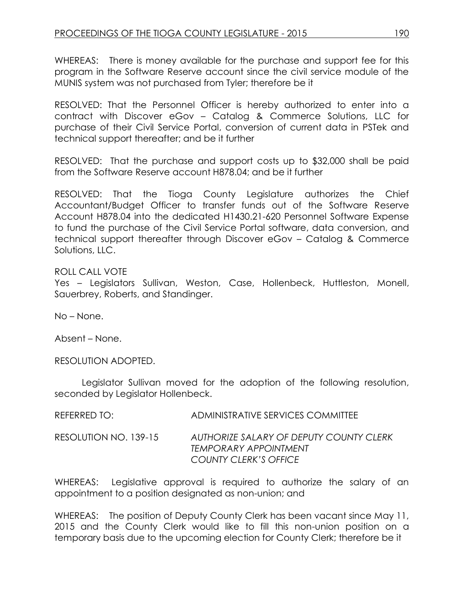WHEREAS: There is money available for the purchase and support fee for this program in the Software Reserve account since the civil service module of the MUNIS system was not purchased from Tyler; therefore be it

RESOLVED: That the Personnel Officer is hereby authorized to enter into a contract with Discover eGov – Catalog & Commerce Solutions, LLC for purchase of their Civil Service Portal, conversion of current data in PSTek and technical support thereafter; and be it further

RESOLVED: That the purchase and support costs up to \$32,000 shall be paid from the Software Reserve account H878.04; and be it further

RESOLVED: That the Tioga County Legislature authorizes the Chief Accountant/Budget Officer to transfer funds out of the Software Reserve Account H878.04 into the dedicated H1430.21-620 Personnel Software Expense to fund the purchase of the Civil Service Portal software, data conversion, and technical support thereafter through Discover eGov – Catalog & Commerce Solutions, LLC.

## ROLL CALL VOTE

Yes – Legislators Sullivan, Weston, Case, Hollenbeck, Huttleston, Monell, Sauerbrey, Roberts, and Standinger.

No – None.

Absent – None.

RESOLUTION ADOPTED.

Legislator Sullivan moved for the adoption of the following resolution, seconded by Legislator Hollenbeck.

REFERRED TO: ADMINISTRATIVE SERVICES COMMITTEE

RESOLUTION NO. 139-15 *AUTHORIZE SALARY OF DEPUTY COUNTY CLERK TEMPORARY APPOINTMENT COUNTY CLERK'S OFFICE*

WHEREAS: Legislative approval is required to authorize the salary of an appointment to a position designated as non-union; and

WHEREAS: The position of Deputy County Clerk has been vacant since May 11, 2015 and the County Clerk would like to fill this non-union position on a temporary basis due to the upcoming election for County Clerk; therefore be it